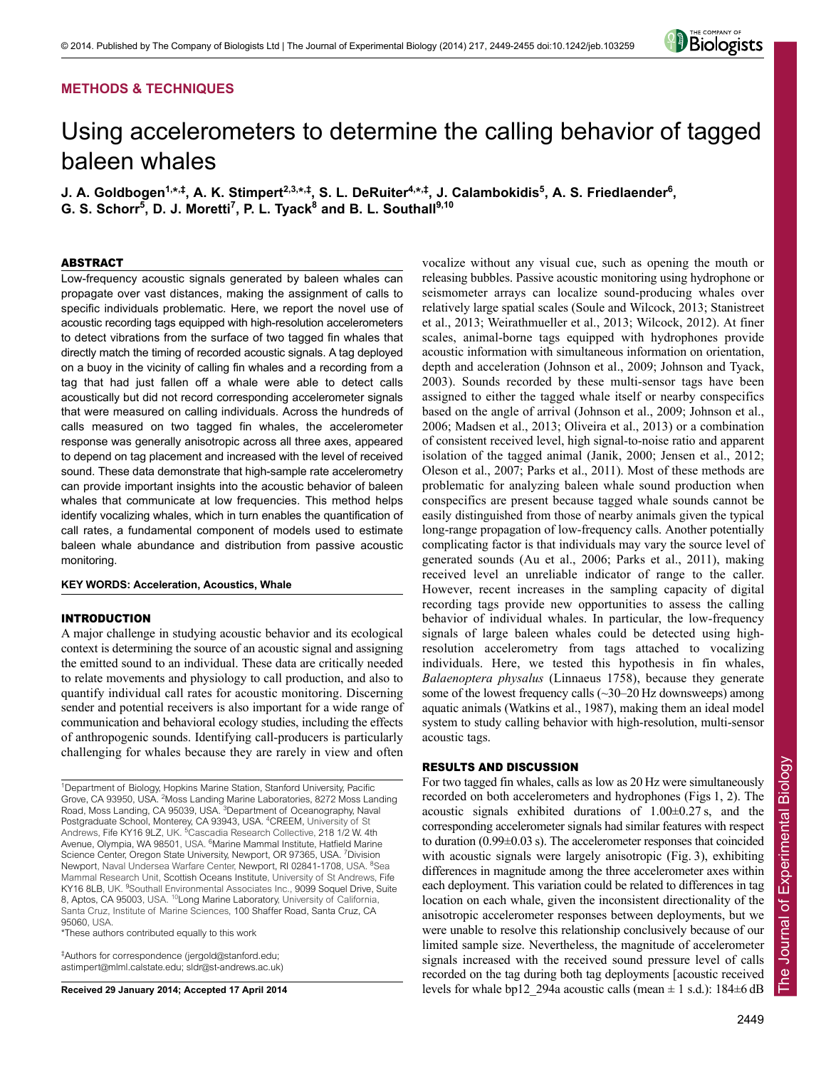# **METHODS & TECHNIQUES**



# Using accelerometers to determine the calling behavior of tagged baleen whales

J. A. Goldbogen<sup>1,</sup>\*<sup>,‡</sup>, A. K. Stimpert<sup>2,3,</sup>\*<sup>,‡</sup>, S. L. DeRuiter<sup>4,</sup>\*<sup>,‡</sup>, J. Calambokidis<sup>5</sup>, A. S. Friedlaender<sup>6</sup>, G. S. Schorr<sup>5</sup>, D. J. Moretti<sup>7</sup>, P. L. Tyack<sup>8</sup> and B. L. Southall<sup>9,10</sup>

# ABSTRACT

Low-frequency acoustic signals generated by baleen whales can propagate over vast distances, making the assignment of calls to specific individuals problematic. Here, we report the novel use of acoustic recording tags equipped with high-resolution accelerometers to detect vibrations from the surface of two tagged fin whales that directly match the timing of recorded acoustic signals. A tag deployed on a buoy in the vicinity of calling fin whales and a recording from a tag that had just fallen off a whale were able to detect calls acoustically but did not record corresponding accelerometer signals that were measured on calling individuals. Across the hundreds of calls measured on two tagged fin whales, the accelerometer response was generally anisotropic across all three axes, appeared to depend on tag placement and increased with the level of received sound. These data demonstrate that high-sample rate accelerometry can provide important insights into the acoustic behavior of baleen whales that communicate at low frequencies. This method helps identify vocalizing whales, which in turn enables the quantification of call rates, a fundamental component of models used to estimate baleen whale abundance and distribution from passive acoustic monitoring.

# **KEY WORDS: Acceleration, Acoustics, Whale**

## INTRODUCTION

A major challenge in studying acoustic behavior and its ecological context is determining the source of an acoustic signal and assigning the emitted sound to an individual. These data are critically needed to relate movements and physiology to call production, and also to quantify individual call rates for acoustic monitoring. Discerning sender and potential receivers is also important for a wide range of communication and behavioral ecology studies, including the effects of anthropogenic sounds. Identifying call-producers is particularly challenging for whales because they are rarely in view and often

<sup>1</sup>Department of Biology, Hopkins Marine Station, Stanford University, Pacific Grove, CA 93950, USA. <sup>2</sup>Moss Landing Marine Laboratories, 8272 Moss Landing Road, Moss Landing, CA 95039, USA. <sup>3</sup>Department of Oceanography, Naval Postgraduate School, Monterey, CA 93943, USA. <sup>4</sup>CREEM, University of St Andrews, Fife KY16 9LZ, UK. <sup>5</sup>Cascadia Research Collective, 218 1/2 W. 4th Avenue, Olympia, WA 98501, USA. <sup>6</sup>Marine Mammal Institute, Hatfield Marine Science Center, Oregon State University, Newport, OR 97365, USA. <sup>7</sup>Division Newport, Naval Undersea Warfare Center, Newport, RI 02841-1708, USA. <sup>8</sup>Sea Mammal Research Unit, Scottish Oceans Institute, University of St Andrews, Fife KY16 8LB, UK. <sup>9</sup>Southall Environmental Associates Inc., 9099 Soquel Drive, Suite 8, Aptos, CA 95003, USA. 10Long Marine Laboratory, University of California, Santa Cruz, Institute of Marine Sciences, 100 Shaffer Road, Santa Cruz, CA 95060, USA.

\*These authors contributed equally to this work

‡ Authors for correspondence (jergold@stanford.edu; astimpert@mlml.calstate.edu; sldr@st-andrews.ac.uk)

**Received 29 January 2014; Accepted 17 April 2014**

vocalize without any visual cue, such as opening the mouth or releasing bubbles. Passive acoustic monitoring using hydrophone or seismometer arrays can localize sound-producing whales over relatively large spatial scales (Soule and Wilcock, 2013; Stanistreet et al., 2013; Weirathmueller et al., 2013; Wilcock, 2012). At finer scales, animal-borne tags equipped with hydrophones provide acoustic information with simultaneous information on orientation, depth and acceleration (Johnson et al., 2009; Johnson and Tyack, 2003). Sounds recorded by these multi-sensor tags have been assigned to either the tagged whale itself or nearby conspecifics based on the angle of arrival (Johnson et al., 2009; Johnson et al., 2006; Madsen et al., 2013; Oliveira et al., 2013) or a combination of consistent received level, high signal-to-noise ratio and apparent isolation of the tagged animal (Janik, 2000; Jensen et al., 2012; Oleson et al., 2007; Parks et al., 2011). Most of these methods are problematic for analyzing baleen whale sound production when conspecifics are present because tagged whale sounds cannot be easily distinguished from those of nearby animals given the typical long-range propagation of low-frequency calls. Another potentially complicating factor is that individuals may vary the source level of generated sounds (Au et al., 2006; Parks et al., 2011), making received level an unreliable indicator of range to the caller. However, recent increases in the sampling capacity of digital recording tags provide new opportunities to assess the calling behavior of individual whales. In particular, the low-frequency signals of large baleen whales could be detected using highresolution accelerometry from tags attached to vocalizing individuals. Here, we tested this hypothesis in fin whales, *Balaenoptera physalus* (Linnaeus 1758), because they generate some of the lowest frequency calls (~30–20 Hz downsweeps) among aquatic animals (Watkins et al., 1987), making them an ideal model system to study calling behavior with high-resolution, multi-sensor acoustic tags.

## RESULTS AND DISCUSSION

For two tagged fin whales, calls as low as 20 Hz were simultaneously recorded on both accelerometers and hydrophones (Figs 1, 2). The acoustic signals exhibited durations of 1.00±0.27 s, and the corresponding accelerometer signals had similar features with respect to duration (0.99±0.03 s). The accelerometer responses that coincided with acoustic signals were largely anisotropic (Fig. 3), exhibiting differences in magnitude among the three accelerometer axes within each deployment. This variation could be related to differences in tag location on each whale, given the inconsistent directionality of the anisotropic accelerometer responses between deployments, but we were unable to resolve this relationship conclusively because of our limited sample size. Nevertheless, the magnitude of accelerometer signals increased with the received sound pressure level of calls recorded on the tag during both tag deployments [acoustic received levels for whale bp12 294a acoustic calls (mean  $\pm$  1 s.d.): 184 $\pm$ 6 dB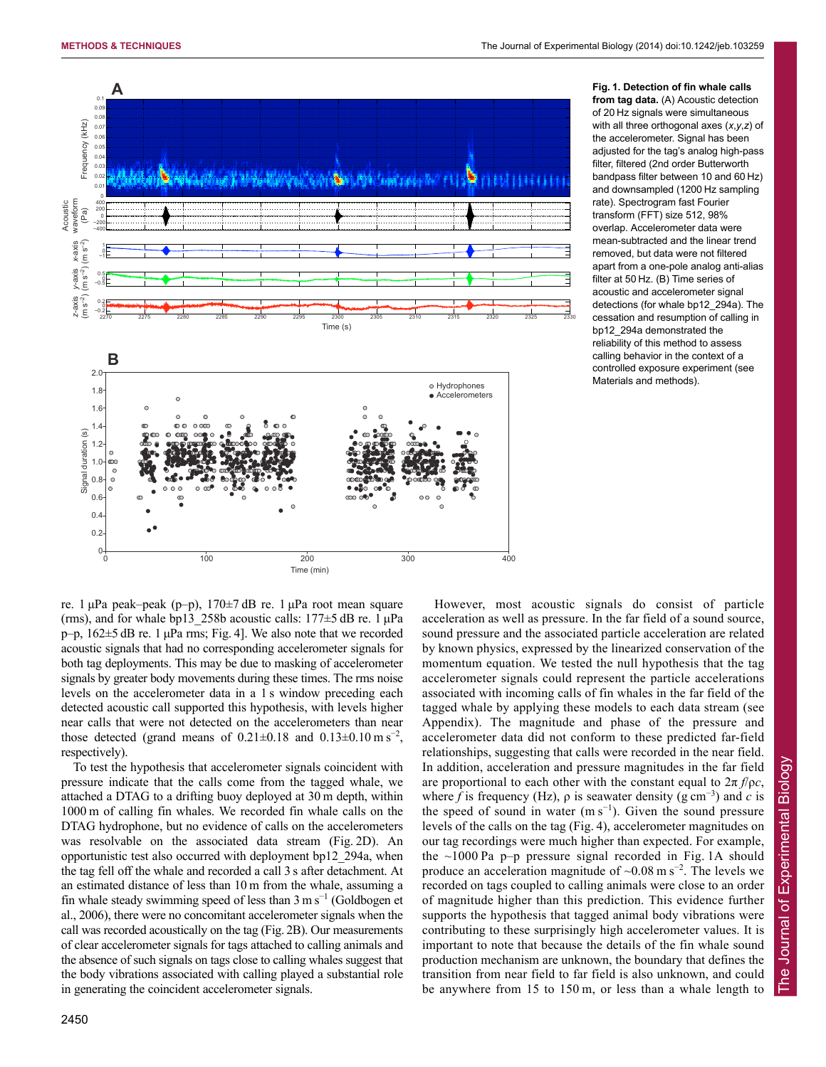

**Fig. 1. Detection of fin whale calls from tag data.** (A) Acoustic detection of 20 Hz signals were simultaneous with all three orthogonal axes (*x*,*y*,*z*) of the accelerometer. Signal has been adjusted for the tag's analog high-pass filter, filtered (2nd order Butterworth bandpass filter between 10 and 60 Hz) and downsampled (1200 Hz sampling rate). Spectrogram fast Fourier transform (FFT) size 512, 98% overlap. Accelerometer data were mean-subtracted and the linear trend removed, but data were not filtered apart from a one-pole analog anti-alias filter at 50 Hz. (B) Time series of acoustic and accelerometer signal detections (for whale bp12\_294a). The cessation and resumption of calling in bp12\_294a demonstrated the reliability of this method to assess calling behavior in the context of a controlled exposure experiment (see Materials and methods).

re. 1  $\mu$ Pa peak–peak (p–p), 170 $\pm$ 7 dB re. 1  $\mu$ Pa root mean square (rms), and for whale bp13\_258b acoustic calls:  $177\pm5$  dB re. 1  $\mu$ Pa p–p, 162±5 dB re. 1 μPa rms; Fig. 4]. We also note that we recorded acoustic signals that had no corresponding accelerometer signals for both tag deployments. This may be due to masking of accelerometer signals by greater body movements during these times. The rms noise levels on the accelerometer data in a 1 s window preceding each detected acoustic call supported this hypothesis, with levels higher near calls that were not detected on the accelerometers than near those detected (grand means of  $0.21 \pm 0.18$  and  $0.13 \pm 0.10$  m s<sup>-2</sup>, respectively).

To test the hypothesis that accelerometer signals coincident with pressure indicate that the calls come from the tagged whale, we attached a DTAG to a drifting buoy deployed at 30 m depth, within 1000 m of calling fin whales. We recorded fin whale calls on the DTAG hydrophone, but no evidence of calls on the accelerometers was resolvable on the associated data stream (Fig. 2D). An opportunistic test also occurred with deployment bp12\_294a, when the tag fell off the whale and recorded a call 3 s after detachment. At an estimated distance of less than 10 m from the whale, assuming a fin whale steady swimming speed of less than  $3 \text{ m s}^{-1}$  (Goldbogen et al., 2006), there were no concomitant accelerometer signals when the call was recorded acoustically on the tag (Fig. 2B). Our measurements of clear accelerometer signals for tags attached to calling animals and the absence of such signals on tags close to calling whales suggest that the body vibrations associated with calling played a substantial role in generating the coincident accelerometer signals.

However, most acoustic signals do consist of particle acceleration as well as pressure. In the far field of a sound source, sound pressure and the associated particle acceleration are related by known physics, expressed by the linearized conservation of the momentum equation. We tested the null hypothesis that the tag accelerometer signals could represent the particle accelerations associated with incoming calls of fin whales in the far field of the tagged whale by applying these models to each data stream (see Appendix). The magnitude and phase of the pressure and accelerometer data did not conform to these predicted far-field relationships, suggesting that calls were recorded in the near field. In addition, acceleration and pressure magnitudes in the far field are proportional to each other with the constant equal to  $2\pi f/\rho c$ , where *f* is frequency (Hz),  $\rho$  is seawater density (g cm<sup>-3</sup>) and *c* is the speed of sound in water  $(m s^{-1})$ . Given the sound pressure levels of the calls on the tag (Fig. 4), accelerometer magnitudes on our tag recordings were much higher than expected. For example, the ~1000 Pa p–p pressure signal recorded in Fig. 1A should produce an acceleration magnitude of  $\sim 0.08$  m s<sup>-2</sup>. The levels we recorded on tags coupled to calling animals were close to an order of magnitude higher than this prediction. This evidence further supports the hypothesis that tagged animal body vibrations were contributing to these surprisingly high accelerometer values. It is important to note that because the details of the fin whale sound production mechanism are unknown, the boundary that defines the transition from near field to far field is also unknown, and could be anywhere from 15 to 150 m, or less than a whale length to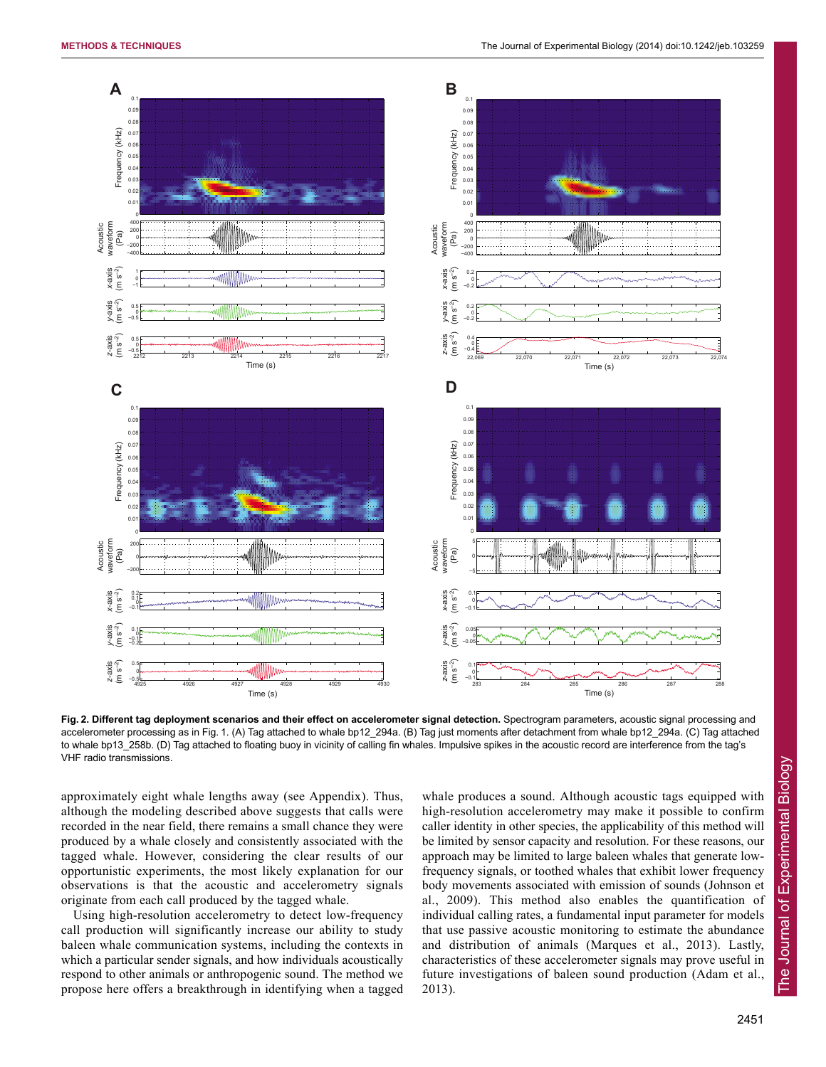

Fig. 2. Different tag deployment scenarios and their effect on accelerometer signal detection. Spectrogram parameters, acoustic signal processing and accelerometer processing as in Fig. 1. (A) Tag attached to whale bp12\_294a. (B) Tag just moments after detachment from whale bp12\_294a. (C) Tag attached to whale bp13\_258b. (D) Tag attached to floating buoy in vicinity of calling fin whales. Impulsive spikes in the acoustic record are interference from the tag's VHF radio transmissions.

approximately eight whale lengths away (see Appendix). Thus, although the modeling described above suggests that calls were recorded in the near field, there remains a small chance they were produced by a whale closely and consistently associated with the tagged whale. However, considering the clear results of our opportunistic experiments, the most likely explanation for our observations is that the acoustic and accelerometry signals originate from each call produced by the tagged whale.

Using high-resolution accelerometry to detect low-frequency call production will significantly increase our ability to study baleen whale communication systems, including the contexts in which a particular sender signals, and how individuals acoustically respond to other animals or anthropogenic sound. The method we propose here offers a breakthrough in identifying when a tagged

whale produces a sound. Although acoustic tags equipped with high-resolution accelerometry may make it possible to confirm caller identity in other species, the applicability of this method will be limited by sensor capacity and resolution. For these reasons, our approach may be limited to large baleen whales that generate lowfrequency signals, or toothed whales that exhibit lower frequency body movements associated with emission of sounds (Johnson et al., 2009). This method also enables the quantification of individual calling rates, a fundamental input parameter for models that use passive acoustic monitoring to estimate the abundance and distribution of animals (Marques et al., 2013). Lastly, characteristics of these accelerometer signals may prove useful in future investigations of baleen sound production (Adam et al., 2013).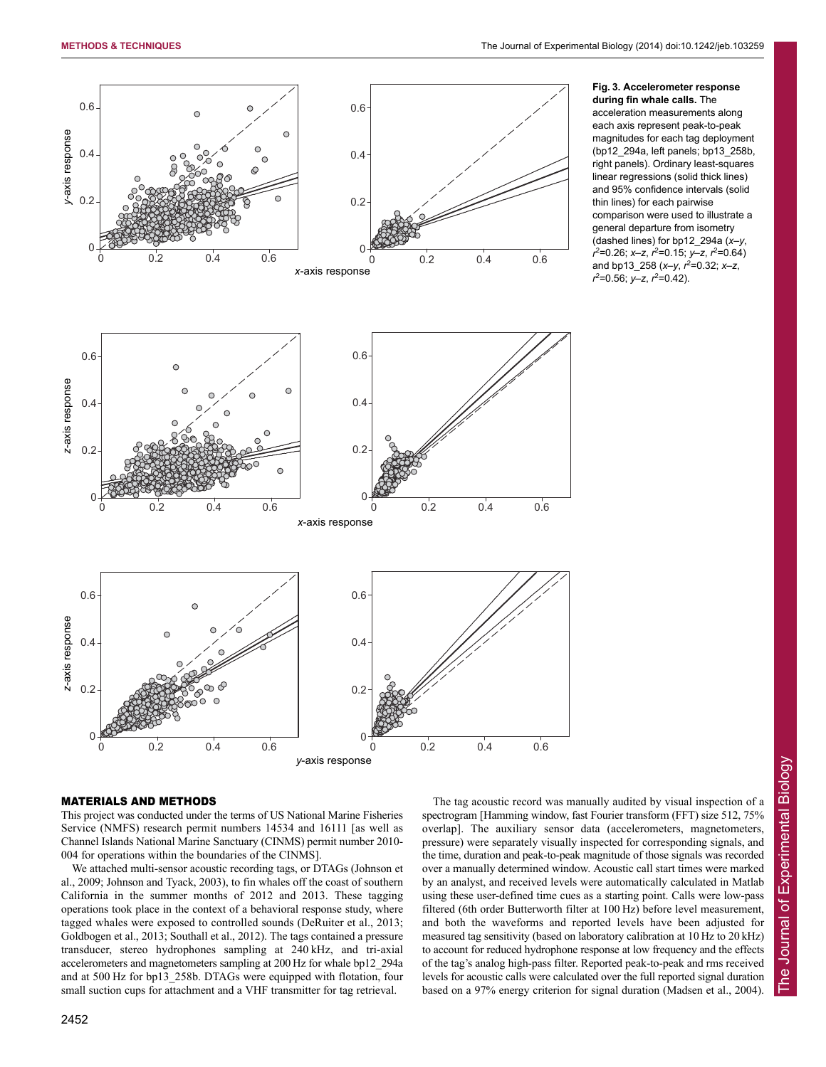

# **Fig. 3. Accelerometer response during fin whale calls.** The

acceleration measurements along each axis represent peak-to-peak magnitudes for each tag deployment (bp12\_294a, left panels; bp13\_258b, right panels). Ordinary least-squares linear regressions (solid thick lines) and 95% confidence intervals (solid thin lines) for each pairwise comparison were used to illustrate a general departure from isometry (dashed lines) for bp12\_294a (*x*–*y*, *r* 2 =0.26; *x*–*z*, *r* 2 =0.15; *y*–*z*, *r* 2 =0.64) and bp13\_258 (*x*–*y*, *r* 2 =0.32; *x*–*z*, *r* 2 =0.56; *y*–*z*, *r* 2 =0.42).

## MATERIALS AND METHODS

This project was conducted under the terms of US National Marine Fisheries Service (NMFS) research permit numbers 14534 and 16111 [as well as Channel Islands National Marine Sanctuary (CINMS) permit number 2010- 004 for operations within the boundaries of the CINMS].

We attached multi-sensor acoustic recording tags, or DTAGs (Johnson et al., 2009; Johnson and Tyack, 2003), to fin whales off the coast of southern California in the summer months of 2012 and 2013. These tagging operations took place in the context of a behavioral response study, where tagged whales were exposed to controlled sounds (DeRuiter et al., 2013; Goldbogen et al., 2013; Southall et al., 2012). The tags contained a pressure transducer, stereo hydrophones sampling at 240 kHz, and tri-axial accelerometers and magnetometers sampling at 200 Hz for whale bp12\_294a and at 500 Hz for bp13\_258b. DTAGs were equipped with flotation, four small suction cups for attachment and a VHF transmitter for tag retrieval.

The tag acoustic record was manually audited by visual inspection of a spectrogram [Hamming window, fast Fourier transform (FFT) size 512, 75% overlap]. The auxiliary sensor data (accelerometers, magnetometers, pressure) were separately visually inspected for corresponding signals, and the time, duration and peak-to-peak magnitude of those signals was recorded over a manually determined window. Acoustic call start times were marked by an analyst, and received levels were automatically calculated in Matlab using these user-defined time cues as a starting point. Calls were low-pass filtered (6th order Butterworth filter at 100 Hz) before level measurement, and both the waveforms and reported levels have been adjusted for measured tag sensitivity (based on laboratory calibration at 10 Hz to 20 kHz) to account for reduced hydrophone response at low frequency and the effects of the tag's analog high-pass filter. Reported peak-to-peak and rms received levels for acoustic calls were calculated over the full reported signal duration based on a 97% energy criterion for signal duration (Madsen et al., 2004).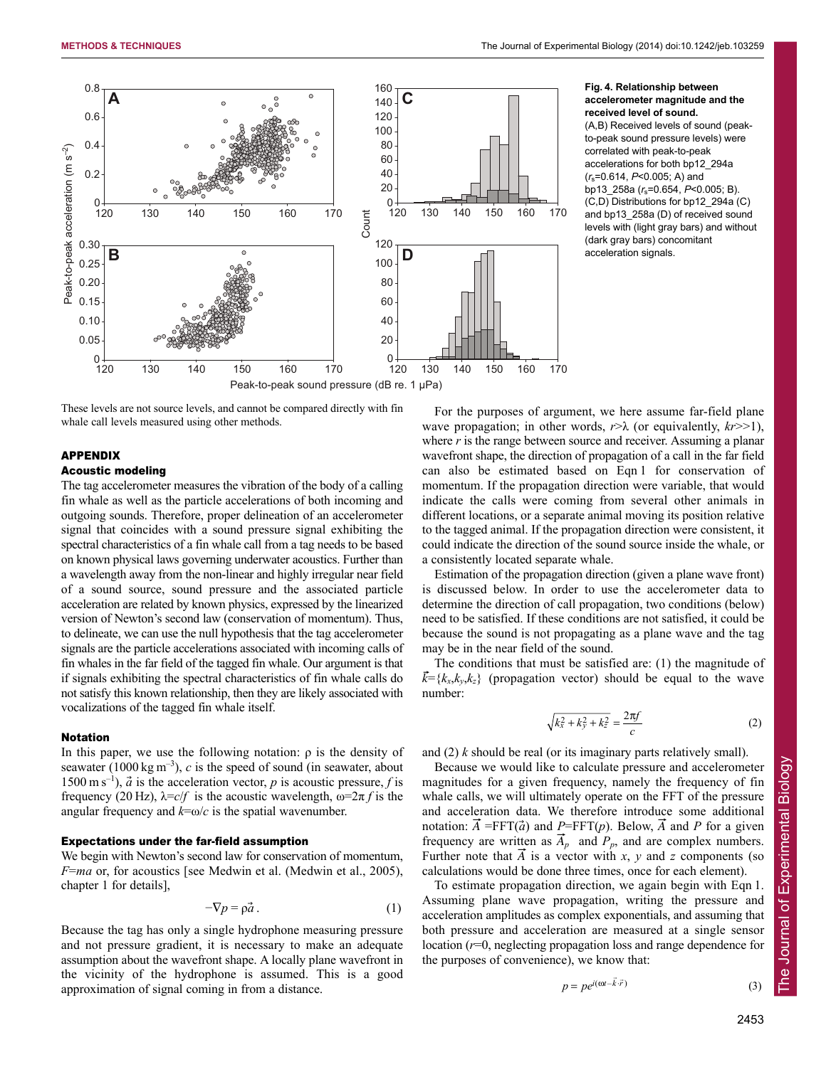

These levels are not source levels, and cannot be compared directly with fin whale call levels measured using other methods.

# APPENDIX

# Acoustic modeling

The tag accelerometer measures the vibration of the body of a calling fin whale as well as the particle accelerations of both incoming and outgoing sounds. Therefore, proper delineation of an accelerometer signal that coincides with a sound pressure signal exhibiting the spectral characteristics of a fin whale call from a tag needs to be based on known physical laws governing underwater acoustics. Further than a wavelength away from the non-linear and highly irregular near field of a sound source, sound pressure and the associated particle acceleration are related by known physics, expressed by the linearized version of Newton's second law (conservation of momentum). Thus, to delineate, we can use the null hypothesis that the tag accelerometer signals are the particle accelerations associated with incoming calls of fin whales in the far field of the tagged fin whale. Our argument is that if signals exhibiting the spectral characteristics of fin whale calls do not satisfy this known relationship, then they are likely associated with vocalizations of the tagged fin whale itself.

#### Notation

In this paper, we use the following notation:  $\rho$  is the density of seawater (1000 kg  $m^{-3}$ ), *c* is the speed of sound (in seawater, about 1500 m s<sup>-1</sup>),  $\vec{a}$  is the acceleration vector, *p* is acoustic pressure, *f* is frequency (20 Hz),  $\lambda = c/f$  is the acoustic wavelength,  $\omega = 2\pi f$  is the angular frequency and  $k = \omega/c$  is the spatial wavenumber.

#### Expectations under the far-field assumption

We begin with Newton's second law for conservation of momentum, *F*=*ma* or, for acoustics [see Medwin et al. (Medwin et al., 2005), chapter 1 for details],

$$
-\nabla p = \rho \vec{a} \,. \tag{1}
$$

Because the tag has only a single hydrophone measuring pressure and not pressure gradient, it is necessary to make an adequate assumption about the wavefront shape. A locally plane wavefront in the vicinity of the hydrophone is assumed. This is a good approximation of signal coming in from a distance.

## **Fig. 4. Relationship between accelerometer magnitude and the received level of sound.**

(A,B) Received levels of sound (peakto-peak sound pressure levels) were correlated with peak-to-peak accelerations for both bp12\_294a (*r*s=0.614, *P*<0.005; A) and bp13\_258a (*r*s=0.654, *P*<0.005; B). (C,D) Distributions for bp12\_294a (C) and bp13\_258a (D) of received sound levels with (light gray bars) and without (dark gray bars) concomitant acceleration signals.

For the purposes of argument, we here assume far-field plane wave propagation; in other words,  $r > \lambda$  (or equivalently,  $kr >> 1$ ), where *r* is the range between source and receiver. Assuming a planar wavefront shape, the direction of propagation of a call in the far field can also be estimated based on Eqn 1 for conservation of momentum. If the propagation direction were variable, that would indicate the calls were coming from several other animals in different locations, or a separate animal moving its position relative to the tagged animal. If the propagation direction were consistent, it could indicate the direction of the sound source inside the whale, or a consistently located separate whale.

Estimation of the propagation direction (given a plane wave front) is discussed below. In order to use the accelerometer data to determine the direction of call propagation, two conditions (below) need to be satisfied. If these conditions are not satisfied, it could be because the sound is not propagating as a plane wave and the tag may be in the near field of the sound.

The conditions that must be satisfied are: (1) the magnitude of  $\vec{k} = \{k_x, k_y, k_z\}$  (propagation vector) should be equal to the wave number:

$$
\sqrt{k_x^2 + k_y^2 + k_z^2} = \frac{2\pi f}{c} \tag{2}
$$

and (2) *k* should be real (or its imaginary parts relatively small).

Because we would like to calculate pressure and accelerometer magnitudes for a given frequency, namely the frequency of fin whale calls, we will ultimately operate on the FFT of the pressure and acceleration data. We therefore introduce some additional notation:  $\vec{A}$  =FFT( $\vec{a}$ ) and *P*=FFT( $p$ ). Below,  $\vec{A}$  and *P* for a given frequency are written as  $\vec{A}_p$  and  $P_p$ , and are complex numbers. Further note that  $\overline{A}$  is a vector with *x*, *y* and *z* components (so calculations would be done three times, once for each element).

To estimate propagation direction, we again begin with Eqn 1. Assuming plane wave propagation, writing the pressure and acceleration amplitudes as complex exponentials, and assuming that both pressure and acceleration are measured at a single sensor location (*r*=0, neglecting propagation loss and range dependence for the purposes of convenience), we know that:

$$
p = p e^{i(\omega t - \vec{k} \cdot \vec{r})}
$$
 (3)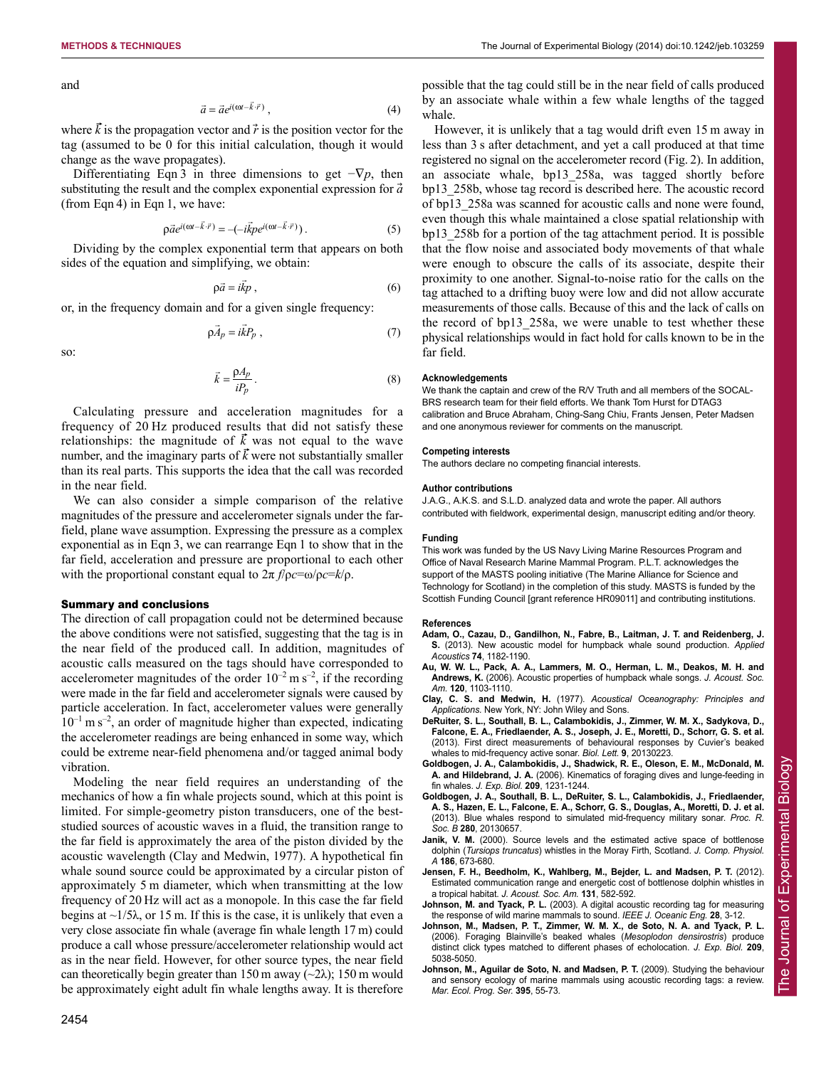and

$$
\vec{a} = \vec{a}e^{i(\omega t - \vec{k}\cdot\vec{r})},\tag{4}
$$

where  $\vec{k}$  is the propagation vector and  $\vec{r}$  is the position vector for the tag (assumed to be 0 for this initial calculation, though it would change as the wave propagates).

Differentiating Eqn 3 in three dimensions to get  $-\nabla p$ , then substituting the result and the complex exponential expression for  $\vec{a}$ (from Eqn 4) in Eqn 1, we have:

$$
\rho \vec{a} e^{i(\omega t - \vec{k} \cdot \vec{r})} = -(-i\vec{k}p e^{i(\omega t - \vec{k} \cdot \vec{r})}). \tag{5}
$$

Dividing by the complex exponential term that appears on both sides of the equation and simplifying, we obtain:

$$
\rho \vec{a} = i \vec{k} p \,, \tag{6}
$$

or, in the frequency domain and for a given single frequency:

$$
\rho \vec{A}_p = i\vec{k}P_p \tag{7}
$$

so:

$$
\vec{k} = \frac{\rho A_p}{i P_p} \,. \tag{8}
$$

Calculating pressure and acceleration magnitudes for a frequency of 20 Hz produced results that did not satisfy these relationships: the magnitude of  $\vec{k}$  was not equal to the wave number, and the imaginary parts of  $\vec{k}$  were not substantially smaller than its real parts. This supports the idea that the call was recorded in the near field.

We can also consider a simple comparison of the relative magnitudes of the pressure and accelerometer signals under the farfield, plane wave assumption. Expressing the pressure as a complex exponential as in Eqn 3, we can rearrange Eqn 1 to show that in the far field, acceleration and pressure are proportional to each other with the proportional constant equal to 2π *f*/ρ*c*=ω/ρ*c*=*k*/ρ.

## Summary and conclusions

The direction of call propagation could not be determined because the above conditions were not satisfied, suggesting that the tag is in the near field of the produced call. In addition, magnitudes of acoustic calls measured on the tags should have corresponded to accelerometer magnitudes of the order  $10^{-2}$  m s<sup>-2</sup>, if the recording were made in the far field and accelerometer signals were caused by particle acceleration. In fact, accelerometer values were generally  $10^{-1}$  m s<sup>-2</sup>, an order of magnitude higher than expected, indicating the accelerometer readings are being enhanced in some way, which could be extreme near-field phenomena and/or tagged animal body vibration.

Modeling the near field requires an understanding of the mechanics of how a fin whale projects sound, which at this point is limited. For simple-geometry piston transducers, one of the beststudied sources of acoustic waves in a fluid, the transition range to the far field is approximately the area of the piston divided by the acoustic wavelength (Clay and Medwin, 1977). A hypothetical fin whale sound source could be approximated by a circular piston of approximately 5 m diameter, which when transmitting at the low frequency of 20 Hz will act as a monopole. In this case the far field begins at  $\sim$ 1/5 $\lambda$ , or 15 m. If this is the case, it is unlikely that even a very close associate fin whale (average fin whale length 17 m) could produce a call whose pressure/accelerometer relationship would act as in the near field. However, for other source types, the near field can theoretically begin greater than 150 m away  $(\sim 2\lambda)$ ; 150 m would be approximately eight adult fin whale lengths away. It is therefore possible that the tag could still be in the near field of calls produced by an associate whale within a few whale lengths of the tagged whale.

However, it is unlikely that a tag would drift even 15 m away in less than 3 s after detachment, and yet a call produced at that time registered no signal on the accelerometer record (Fig. 2). In addition, an associate whale, bp13\_258a, was tagged shortly before bp13\_258b, whose tag record is described here. The acoustic record of bp13\_258a was scanned for acoustic calls and none were found, even though this whale maintained a close spatial relationship with bp13\_258b for a portion of the tag attachment period. It is possible that the flow noise and associated body movements of that whale were enough to obscure the calls of its associate, despite their proximity to one another. Signal-to-noise ratio for the calls on the tag attached to a drifting buoy were low and did not allow accurate measurements of those calls. Because of this and the lack of calls on the record of bp13\_258a, we were unable to test whether these physical relationships would in fact hold for calls known to be in the far field.

## **Acknowledgements**

We thank the captain and crew of the R/V Truth and all members of the SOCAL-BRS research team for their field efforts. We thank Tom Hurst for DTAG3 calibration and Bruce Abraham, Ching-Sang Chiu, Frants Jensen, Peter Madsen and one anonymous reviewer for comments on the manuscript.

## **Competing interests**

The authors declare no competing financial interests.

#### **Author contributions**

J.A.G., A.K.S. and S.L.D. analyzed data and wrote the paper. All authors contributed with fieldwork, experimental design, manuscript editing and/or theory.

#### **Funding**

This work was funded by the US Navy Living Marine Resources Program and Office of Naval Research Marine Mammal Program. P.L.T. acknowledges the support of the MASTS pooling initiative (The Marine Alliance for Science and Technology for Scotland) in the completion of this study. MASTS is funded by the Scottish Funding Council [grant reference HR09011] and contributing institutions.

#### **References**

- **Adam, O., Cazau, D., Gandilhon, N., Fabre, B., Laitman, J. T. and Reidenberg, J. S.** (2013). New acoustic model for humpback whale sound production. *Applied Acoustics* **74**, 1182-1190.
- **Au, W. W. L., Pack, A. A., Lammers, M. O., Herman, L. M., Deakos, M. H. and Andrews, K.** (2006). Acoustic properties of humpback whale songs. *J. Acoust. Soc. Am.* **120**, 1103-1110.
- **Clay, C. S. and Medwin, H.** (1977). *Acoustical Oceanography: Principles and Applications.* New York, NY: John Wiley and Sons.
- **DeRuiter, S. L., Southall, B. L., Calambokidis, J., Zimmer, W. M. X., Sadykova, D., Falcone, E. A., Friedlaender, A. S., Joseph, J. E., Moretti, D., Schorr, G. S. et al.** (2013). First direct measurements of behavioural responses by Cuvier's beaked whales to mid-frequency active sonar. *Biol. Lett.* **9**, 20130223.
- **Goldbogen, J. A., Calambokidis, J., Shadwick, R. E., Oleson, E. M., McDonald, M. A. and Hildebrand, J. A.** (2006). Kinematics of foraging dives and lunge-feeding in fin whales. *J. Exp. Biol.* **209**, 1231-1244.
- **Goldbogen, J. A., Southall, B. L., DeRuiter, S. L., Calambokidis, J., Friedlaender, A. S., Hazen, E. L., Falcone, E. A., Schorr, G. S., Douglas, A., Moretti, D. J. et al.** (2013). Blue whales respond to simulated mid-frequency military sonar. *Proc. R. Soc. B* **280**, 20130657.
- Janik, V. M. (2000). Source levels and the estimated active space of bottlenose dolphin (*Tursiops truncatus*) whistles in the Moray Firth, Scotland. *J. Comp. Physiol. A* **186**, 673-680.
- **Jensen, F. H., Beedholm, K., Wahlberg, M., Bejder, L. and Madsen, P. T.** (2012). Estimated communication range and energetic cost of bottlenose dolphin whistles in a tropical habitat. *J. Acoust. Soc. Am.* **131**, 582-592.
- **Johnson, M. and Tyack, P. L.** (2003). A digital acoustic recording tag for measuring the response of wild marine mammals to sound. *IEEE J. Oceanic Eng.* **28**, 3-12.
- **Johnson, M., Madsen, P. T., Zimmer, W. M. X., de Soto, N. A. and Tyack, P. L.** (2006). Foraging Blainville's beaked whales (*Mesoplodon densirostris*) produce distinct click types matched to different phases of echolocation. *J. Exp. Biol.* **209**, 5038-5050.
- **Johnson, M., Aguilar de Soto, N. and Madsen, P. T.** (2009). Studying the behaviour and sensory ecology of marine mammals using acoustic recording tags: a review. *Mar. Ecol. Prog. Ser.* **395**, 55-73.